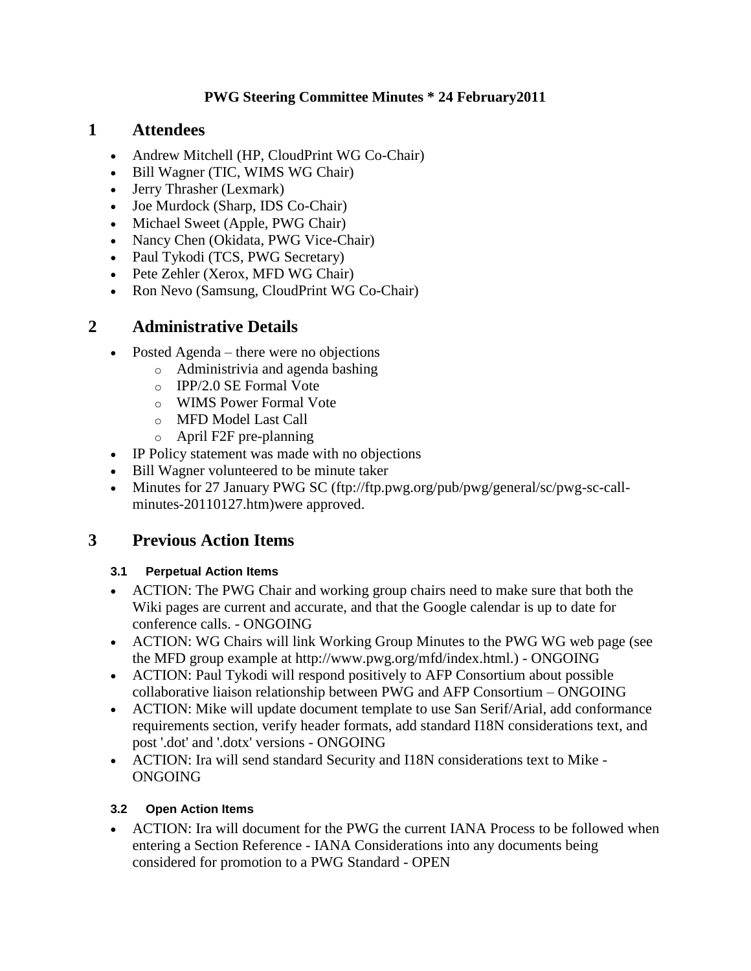### **PWG Steering Committee Minutes \* 24 February2011**

### **1 Attendees**

- Andrew Mitchell (HP, CloudPrint WG Co-Chair)
- Bill Wagner (TIC, WIMS WG Chair)
- Jerry Thrasher (Lexmark)
- Joe Murdock (Sharp, IDS Co-Chair)
- Michael Sweet (Apple, PWG Chair)
- Nancy Chen (Okidata, PWG Vice-Chair)
- Paul Tykodi (TCS, PWG Secretary)
- Pete Zehler (Xerox, MFD WG Chair)
- Ron Nevo (Samsung, CloudPrint WG Co-Chair)

### **2 Administrative Details**

- Posted Agenda there were no objections
	- o Administrivia and agenda bashing
	- o IPP/2.0 SE Formal Vote
	- o WIMS Power Formal Vote
	- o MFD Model Last Call
	- o April F2F pre-planning
- IP Policy statement was made with no objections
- Bill Wagner volunteered to be minute taker
- Minutes for 27 January PWG SC (ftp://ftp.pwg.org/pub/pwg/general/sc/pwg-sc-callminutes-20110127.htm)were approved.

## **3 Previous Action Items**

### **3.1 Perpetual Action Items**

- ACTION: The PWG Chair and working group chairs need to make sure that both the Wiki pages are current and accurate, and that the Google calendar is up to date for conference calls. - ONGOING
- ACTION: WG Chairs will link Working Group Minutes to the PWG WG web page (see the MFD group example at http://www.pwg.org/mfd/index.html.) - ONGOING
- ACTION: Paul Tykodi will respond positively to AFP Consortium about possible collaborative liaison relationship between PWG and AFP Consortium – ONGOING
- ACTION: Mike will update document template to use San Serif/Arial, add conformance requirements section, verify header formats, add standard I18N considerations text, and post '.dot' and '.dotx' versions - ONGOING
- ACTION: Ira will send standard Security and I18N considerations text to Mike ONGOING

### **3.2 Open Action Items**

 ACTION: Ira will document for the PWG the current IANA Process to be followed when entering a Section Reference - IANA Considerations into any documents being considered for promotion to a PWG Standard - OPEN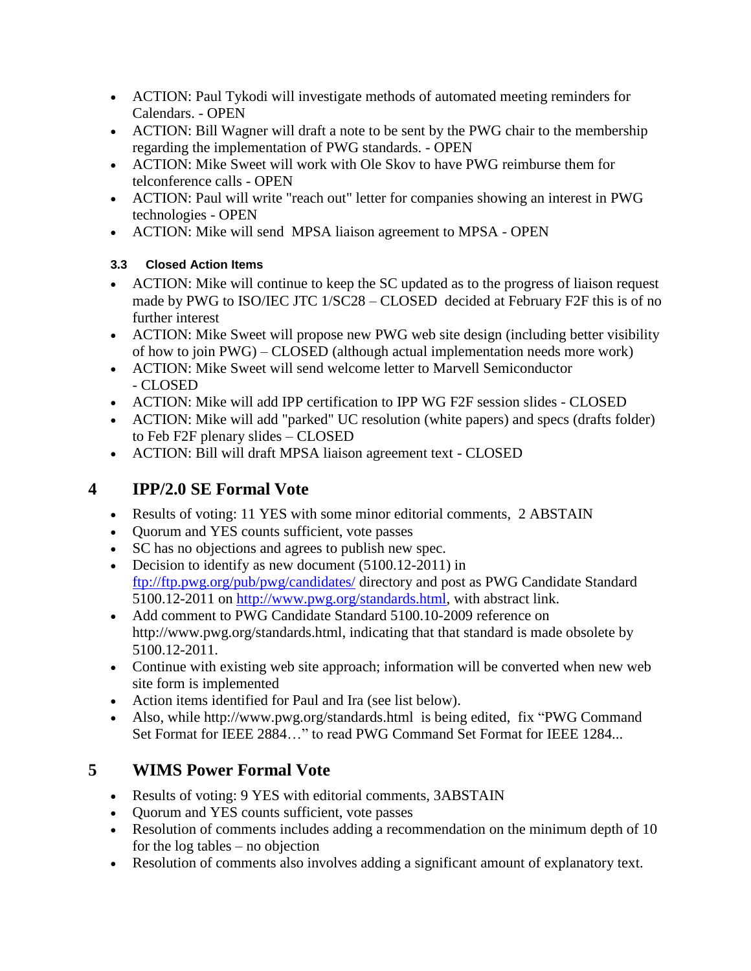- ACTION: Paul Tykodi will investigate methods of automated meeting reminders for Calendars. - OPEN
- ACTION: Bill Wagner will draft a note to be sent by the PWG chair to the membership regarding the implementation of PWG standards. - OPEN
- ACTION: Mike Sweet will work with Ole Skov to have PWG reimburse them for telconference calls - OPEN
- ACTION: Paul will write "reach out" letter for companies showing an interest in PWG technologies - OPEN
- ACTION: Mike will send MPSA liaison agreement to MPSA OPEN

### **3.3 Closed Action Items**

- ACTION: Mike will continue to keep the SC updated as to the progress of liaison request made by PWG to ISO/IEC JTC 1/SC28 – CLOSED decided at February F2F this is of no further interest
- ACTION: Mike Sweet will propose new PWG web site design (including better visibility of how to join PWG) – CLOSED (although actual implementation needs more work)
- ACTION: Mike Sweet will send welcome letter to Marvell Semiconductor - CLOSED
- ACTION: Mike will add IPP certification to IPP WG F2F session slides CLOSED
- ACTION: Mike will add "parked" UC resolution (white papers) and specs (drafts folder) to Feb F2F plenary slides – CLOSED
- ACTION: Bill will draft MPSA liaison agreement text CLOSED

## **4 IPP/2.0 SE Formal Vote**

- Results of voting: 11 YES with some minor editorial comments, 2 ABSTAIN
- Quorum and YES counts sufficient, vote passes
- SC has no objections and agrees to publish new spec.
- Decision to identify as new document (5100.12-2011) in <ftp://ftp.pwg.org/pub/pwg/candidates/> directory and post as PWG Candidate Standard 5100.12-2011 on [http://www.pwg.org/standards.html,](http://www.pwg.org/standards.html) with abstract link.
- Add comment to PWG Candidate Standard 5100.10-2009 reference on http://www.pwg.org/standards.html, indicating that that standard is made obsolete by 5100.12-2011.
- Continue with existing web site approach; information will be converted when new web site form is implemented
- Action items identified for Paul and Ira (see list below).
- Also, while http://www.pwg.org/standards.html is being edited, fix "PWG Command Set Format for IEEE 2884..." to read PWG Command Set Format for IEEE 1284...

# **5 WIMS Power Formal Vote**

- Results of voting: 9 YES with editorial comments, 3ABSTAIN
- Quorum and YES counts sufficient, vote passes
- Resolution of comments includes adding a recommendation on the minimum depth of 10 for the log tables – no objection
- Resolution of comments also involves adding a significant amount of explanatory text.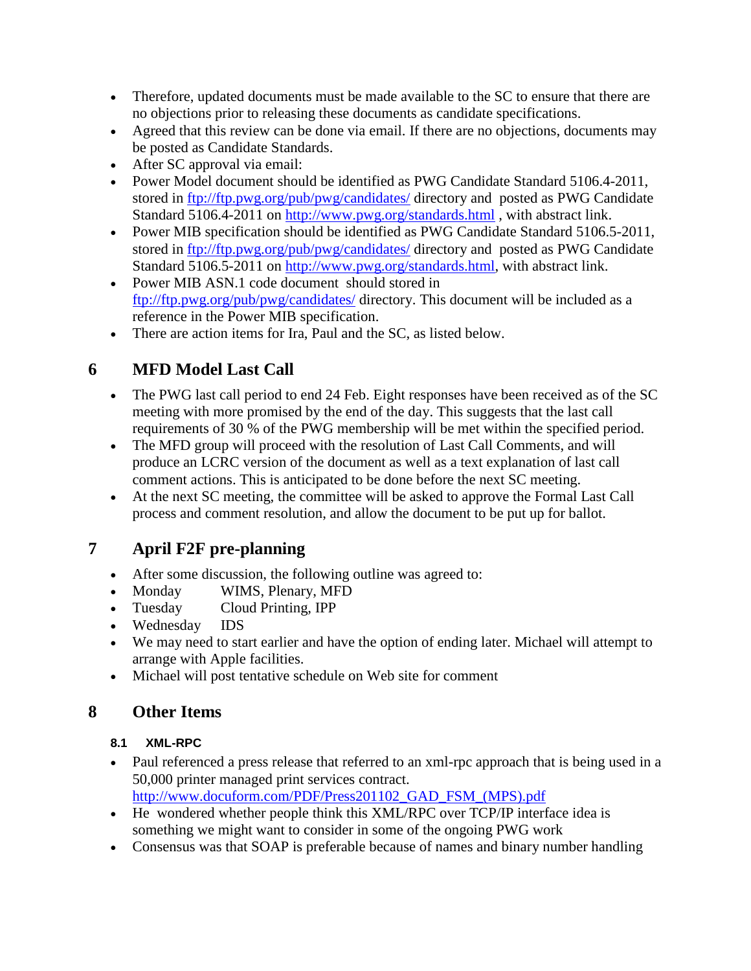- Therefore, updated documents must be made available to the SC to ensure that there are no objections prior to releasing these documents as candidate specifications.
- Agreed that this review can be done via email. If there are no objections, documents may be posted as Candidate Standards.
- After SC approval via email:
- Power Model document should be identified as PWG Candidate Standard 5106.4-2011, stored in<ftp://ftp.pwg.org/pub/pwg/candidates/> directory and posted as PWG Candidate Standard 5106.4-2011 on<http://www.pwg.org/standards.html> , with abstract link.
- Power MIB specification should be identified as PWG Candidate Standard 5106.5-2011, stored in<ftp://ftp.pwg.org/pub/pwg/candidates/> directory and posted as PWG Candidate Standard 5106.5-2011 on [http://www.pwg.org/standards.html,](http://www.pwg.org/standards.html) with abstract link.
- Power MIB ASN.1 code document should stored in <ftp://ftp.pwg.org/pub/pwg/candidates/> directory. This document will be included as a reference in the Power MIB specification.
- There are action items for Ira, Paul and the SC, as listed below.

# **6 MFD Model Last Call**

- The PWG last call period to end 24 Feb. Eight responses have been received as of the SC meeting with more promised by the end of the day. This suggests that the last call requirements of 30 % of the PWG membership will be met within the specified period.
- The MFD group will proceed with the resolution of Last Call Comments, and will produce an LCRC version of the document as well as a text explanation of last call comment actions. This is anticipated to be done before the next SC meeting.
- At the next SC meeting, the committee will be asked to approve the Formal Last Call process and comment resolution, and allow the document to be put up for ballot.

# **7 April F2F pre-planning**

- After some discussion, the following outline was agreed to:
- Monday WIMS, Plenary, MFD
- Tuesday Cloud Printing, IPP
- Wednesday IDS
- We may need to start earlier and have the option of ending later. Michael will attempt to arrange with Apple facilities.
- Michael will post tentative schedule on Web site for comment

# **8 Other Items**

### **8.1 XML-RPC**

- Paul referenced a press release that referred to an xml-rpc approach that is being used in a 50,000 printer managed print services contract. [http://www.docuform.com/PDF/Press201102\\_GAD\\_FSM\\_\(MPS\).pdf](http://www.docuform.com/PDF/Press201102_GAD_FSM_(MPS).pdf)
- He wondered whether people think this XML/RPC over TCP/IP interface idea is something we might want to consider in some of the ongoing PWG work
- Consensus was that SOAP is preferable because of names and binary number handling